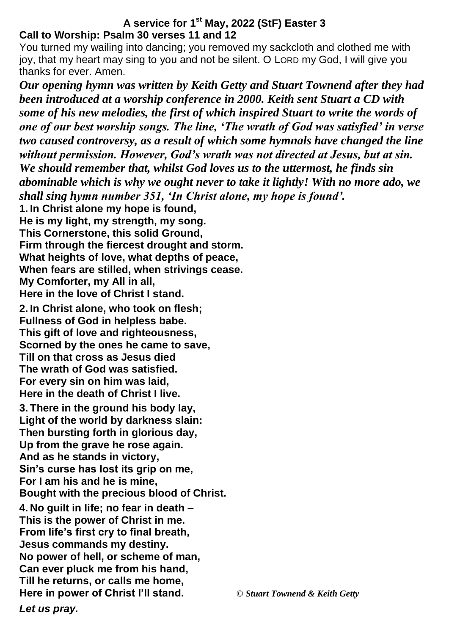# **A service for 1 st May, 2022 (StF) Easter 3 Call to Worship: Psalm 30 verses 11 and 12**

You turned my wailing into dancing; you removed my sackcloth and clothed me with joy, that my heart may sing to you and not be silent. O LORD my God, I will give you thanks for ever. Amen.

*Our opening hymn was written by Keith Getty and Stuart Townend after they had been introduced at a worship conference in 2000. Keith sent Stuart a CD with some of his new melodies, the first of which inspired Stuart to write the words of one of our best worship songs. The line, 'The wrath of God was satisfied' in verse two caused controversy, as a result of which some hymnals have changed the line without permission. However, God's wrath was not directed at Jesus, but at sin. We should remember that, whilst God loves us to the uttermost, he finds sin abominable which is why we ought never to take it lightly! With no more ado, we shall sing hymn number 351, 'In Christ alone, my hope is found'.* **1. In Christ alone my hope is found, He is my light, my strength, my song. This Cornerstone, this solid Ground, Firm through the fiercest drought and storm. What heights of love, what depths of peace, When fears are stilled, when strivings cease. My Comforter, my All in all, Here in the love of Christ I stand. 2. In Christ alone, who took on flesh; Fullness of God in helpless babe. This gift of love and righteousness, Scorned by the ones he came to save, Till on that cross as Jesus died The wrath of God was satisfied. For every sin on him was laid, Here in the death of Christ I live. 3. There in the ground his body lay, Light of the world by darkness slain: Then bursting forth in glorious day, Up from the grave he rose again. And as he stands in victory, Sin's curse has lost its grip on me, For I am his and he is mine, Bought with the precious blood of Christ. 4. No guilt in life; no fear in death – This is the power of Christ in me. From life's first cry to final breath, Jesus commands my destiny. No power of hell, or scheme of man, Can ever pluck me from his hand, Till he returns, or calls me home, Here in power of Christ I'll stand.** *© Stuart Townend & Keith Getty*

*Let us pray.*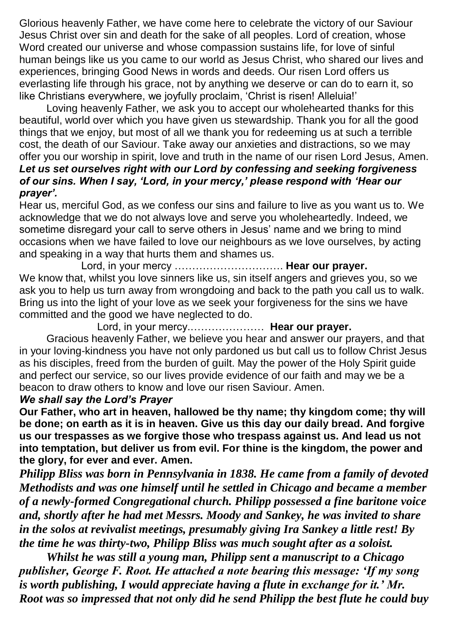Glorious heavenly Father, we have come here to celebrate the victory of our Saviour Jesus Christ over sin and death for the sake of all peoples. Lord of creation, whose Word created our universe and whose compassion sustains life, for love of sinful human beings like us you came to our world as Jesus Christ, who shared our lives and experiences, bringing Good News in words and deeds. Our risen Lord offers us everlasting life through his grace, not by anything we deserve or can do to earn it, so like Christians everywhere, we joyfully proclaim, 'Christ is risen! Alleluia!'

Loving heavenly Father, we ask you to accept our wholehearted thanks for this beautiful, world over which you have given us stewardship. Thank you for all the good things that we enjoy, but most of all we thank you for redeeming us at such a terrible cost, the death of our Saviour. Take away our anxieties and distractions, so we may offer you our worship in spirit, love and truth in the name of our risen Lord Jesus, Amen. *Let us set ourselves right with our Lord by confessing and seeking forgiveness of our sins. When I say, 'Lord, in your mercy,' please respond with 'Hear our prayer'.*

Hear us, merciful God, as we confess our sins and failure to live as you want us to. We acknowledge that we do not always love and serve you wholeheartedly. Indeed, we sometime disregard your call to serve others in Jesus' name and we bring to mind occasions when we have failed to love our neighbours as we love ourselves, by acting and speaking in a way that hurts them and shames us.

Lord, in your mercy …………………………. **Hear our prayer.** We know that, whilst you love sinners like us, sin itself angers and grieves you, so we ask you to help us turn away from wrongdoing and back to the path you call us to walk. Bring us into the light of your love as we seek your forgiveness for the sins we have committed and the good we have neglected to do.

Lord, in your mercy.………………… **Hear our prayer.**

Gracious heavenly Father, we believe you hear and answer our prayers, and that in your loving-kindness you have not only pardoned us but call us to follow Christ Jesus as his disciples, freed from the burden of guilt. May the power of the Holy Spirit guide and perfect our service, so our lives provide evidence of our faith and may we be a beacon to draw others to know and love our risen Saviour. Amen.

### *We shall say the Lord's Prayer*

**Our Father, who art in heaven, hallowed be thy name; thy kingdom come; thy will be done; on earth as it is in heaven. Give us this day our daily bread. And forgive us our trespasses as we forgive those who trespass against us. And lead us not into temptation, but deliver us from evil. For thine is the kingdom, the power and the glory, for ever and ever. Amen.**

*Philipp Bliss was born in Pennsylvania in 1838. He came from a family of devoted Methodists and was one himself until he settled in Chicago and became a member of a newly-formed Congregational church. Philipp possessed a fine baritone voice and, shortly after he had met Messrs. Moody and Sankey, he was invited to share in the solos at revivalist meetings, presumably giving Ira Sankey a little rest! By the time he was thirty-two, Philipp Bliss was much sought after as a soloist.*

*Whilst he was still a young man, Philipp sent a manuscript to a Chicago publisher, George F. Root. He attached a note bearing this message: 'If my song is worth publishing, I would appreciate having a flute in exchange for it.' Mr. Root was so impressed that not only did he send Philipp the best flute he could buy*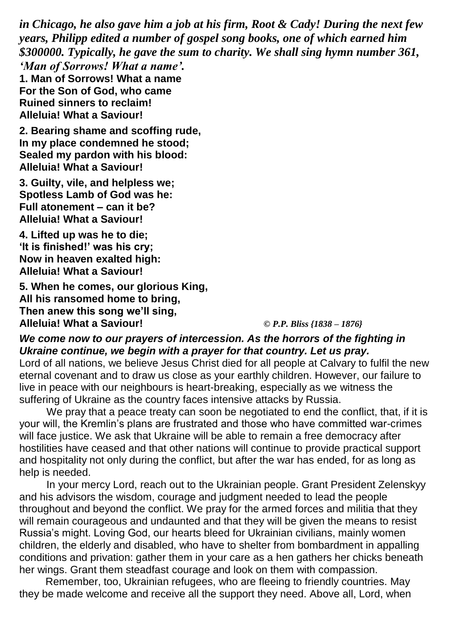*in Chicago, he also gave him a job at his firm, Root & Cady! During the next few years, Philipp edited a number of gospel song books, one of which earned him \$300000. Typically, he gave the sum to charity. We shall sing hymn number 361,* 

*'Man of Sorrows! What a name'.* **1. Man of Sorrows! What a name For the Son of God, who came Ruined sinners to reclaim! Alleluia! What a Saviour!**

**2. Bearing shame and scoffing rude, In my place condemned he stood; Sealed my pardon with his blood: Alleluia! What a Saviour!**

**3. Guilty, vile, and helpless we; Spotless Lamb of God was he: Full atonement – can it be? Alleluia! What a Saviour!**

**4. Lifted up was he to die; 'It is finished!' was his cry; Now in heaven exalted high: Alleluia! What a Saviour!**

**5. When he comes, our glorious King, All his ransomed home to bring, Then anew this song we'll sing, Alleluia! What a Saviour!** *© P.P. Bliss {1838 – 1876}*

### *We come now to our prayers of intercession. As the horrors of the fighting in Ukraine continue, we begin with a prayer for that country. Let us pray.*

Lord of all nations, we believe Jesus Christ died for all people at Calvary to fulfil the new eternal covenant and to draw us close as your earthly children. However, our failure to live in peace with our neighbours is heart-breaking, especially as we witness the suffering of Ukraine as the country faces intensive attacks by Russia.

We pray that a peace treaty can soon be negotiated to end the conflict, that, if it is your will, the Kremlin's plans are frustrated and those who have committed war-crimes will face justice. We ask that Ukraine will be able to remain a free democracy after hostilities have ceased and that other nations will continue to provide practical support and hospitality not only during the conflict, but after the war has ended, for as long as help is needed.

In your mercy Lord, reach out to the Ukrainian people. Grant President Zelenskyy and his advisors the wisdom, courage and judgment needed to lead the people throughout and beyond the conflict. We pray for the armed forces and militia that they will remain courageous and undaunted and that they will be given the means to resist Russia's might. Loving God, our hearts bleed for Ukrainian civilians, mainly women children, the elderly and disabled, who have to shelter from bombardment in appalling conditions and privation: gather them in your care as a hen gathers her chicks beneath her wings. Grant them steadfast courage and look on them with compassion.

 Remember, too, Ukrainian refugees, who are fleeing to friendly countries. May they be made welcome and receive all the support they need. Above all, Lord, when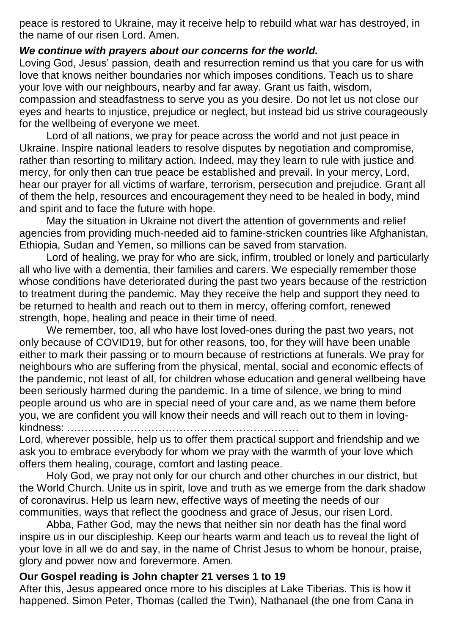peace is restored to Ukraine, may it receive help to rebuild what war has destroyed, in the name of our risen Lord. Amen.

# *We continue with prayers about our concerns for the world.*

Loving God, Jesus' passion, death and resurrection remind us that you care for us with love that knows neither boundaries nor which imposes conditions. Teach us to share your love with our neighbours, nearby and far away. Grant us faith, wisdom, compassion and steadfastness to serve you as you desire. Do not let us not close our eyes and hearts to injustice, prejudice or neglect, but instead bid us strive courageously for the wellbeing of everyone we meet.

Lord of all nations, we pray for peace across the world and not just peace in Ukraine. Inspire national leaders to resolve disputes by negotiation and compromise, rather than resorting to military action. Indeed, may they learn to rule with justice and mercy, for only then can true peace be established and prevail. In your mercy, Lord, hear our prayer for all victims of warfare, terrorism, persecution and prejudice. Grant all of them the help, resources and encouragement they need to be healed in body, mind and spirit and to face the future with hope.

May the situation in Ukraine not divert the attention of governments and relief agencies from providing much-needed aid to famine-stricken countries like Afghanistan, Ethiopia, Sudan and Yemen, so millions can be saved from starvation.

Lord of healing, we pray for who are sick, infirm, troubled or lonely and particularly all who live with a dementia, their families and carers. We especially remember those whose conditions have deteriorated during the past two years because of the restriction to treatment during the pandemic. May they receive the help and support they need to be returned to health and reach out to them in mercy, offering comfort, renewed strength, hope, healing and peace in their time of need.

We remember, too, all who have lost loved-ones during the past two years, not only because of COVID19, but for other reasons, too, for they will have been unable either to mark their passing or to mourn because of restrictions at funerals. We pray for neighbours who are suffering from the physical, mental, social and economic effects of the pandemic, not least of all, for children whose education and general wellbeing have been seriously harmed during the pandemic. In a time of silence, we bring to mind people around us who are in special need of your care and, as we name them before you, we are confident you will know their needs and will reach out to them in lovingkindness: …………………………………………………………

Lord, wherever possible, help us to offer them practical support and friendship and we ask you to embrace everybody for whom we pray with the warmth of your love which offers them healing, courage, comfort and lasting peace.

Holy God, we pray not only for our church and other churches in our district, but the World Church. Unite us in spirit, love and truth as we emerge from the dark shadow of coronavirus. Help us learn new, effective ways of meeting the needs of our communities, ways that reflect the goodness and grace of Jesus, our risen Lord.

Abba, Father God, may the news that neither sin nor death has the final word inspire us in our discipleship. Keep our hearts warm and teach us to reveal the light of your love in all we do and say, in the name of Christ Jesus to whom be honour, praise, glory and power now and forevermore. Amen.

### **Our Gospel reading is John chapter 21 verses 1 to 19**

After this, Jesus appeared once more to his disciples at Lake Tiberias. This is how it happened. Simon Peter, Thomas (called the Twin), Nathanael (the one from Cana in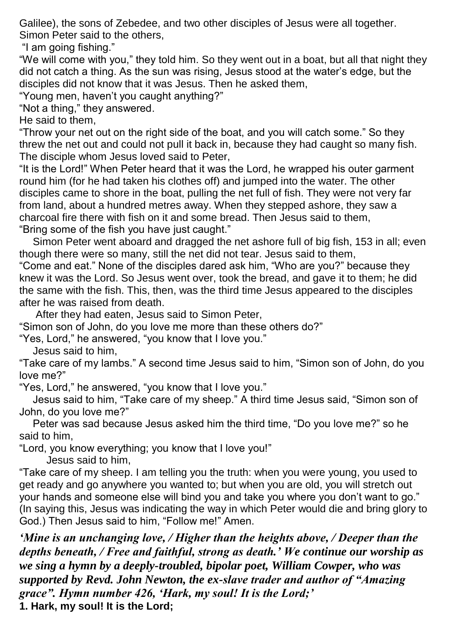Galilee), the sons of Zebedee, and two other disciples of Jesus were all together. Simon Peter said to the others,

"I am going fishing."

"We will come with you," they told him. So they went out in a boat, but all that night they did not catch a thing. As the sun was rising, Jesus stood at the water's edge, but the disciples did not know that it was Jesus. Then he asked them,

"Young men, haven't you caught anything?"

"Not a thing," they answered.

He said to them,

"Throw your net out on the right side of the boat, and you will catch some." So they threw the net out and could not pull it back in, because they had caught so many fish. The disciple whom Jesus loved said to Peter,

"It is the Lord!" When Peter heard that it was the Lord, he wrapped his outer garment round him (for he had taken his clothes off) and jumped into the water. The other disciples came to shore in the boat, pulling the net full of fish. They were not very far from land, about a hundred metres away. When they stepped ashore, they saw a charcoal fire there with fish on it and some bread. Then Jesus said to them, "Bring some of the fish you have just caught."

Simon Peter went aboard and dragged the net ashore full of big fish, 153 in all; even though there were so many, still the net did not tear. Jesus said to them,

"Come and eat." None of the disciples dared ask him, "Who are you?" because they knew it was the Lord. So Jesus went over, took the bread, and gave it to them; he did the same with the fish. This, then, was the third time Jesus appeared to the disciples after he was raised from death.

After they had eaten, Jesus said to Simon Peter,

"Simon son of John, do you love me more than these others do?"

"Yes, Lord," he answered, "you know that I love you."

Jesus said to him,

"Take care of my lambs." A second time Jesus said to him, "Simon son of John, do you love me?"

"Yes, Lord," he answered, "you know that I love you."

Jesus said to him, "Take care of my sheep." A third time Jesus said, "Simon son of John, do you love me?"

Peter was sad because Jesus asked him the third time, "Do you love me?" so he said to him,

"Lord, you know everything; you know that I love you!"

Jesus said to him,

"Take care of my sheep. I am telling you the truth: when you were young, you used to get ready and go anywhere you wanted to; but when you are old, you will stretch out your hands and someone else will bind you and take you where you don't want to go." (In saying this, Jesus was indicating the way in which Peter would die and bring glory to God.) Then Jesus said to him, "Follow me!" Amen.

*'Mine is an unchanging love, / Higher than the heights above, / Deeper than the depths beneath, / Free and faithful, strong as death.' We continue our worship as we sing a hymn by a deeply-troubled, bipolar poet, William Cowper, who was supported by Revd. John Newton, the ex-slave trader and author of "Amazing grace". Hymn number 426, 'Hark, my soul! It is the Lord;'* **1. Hark, my soul! It is the Lord;**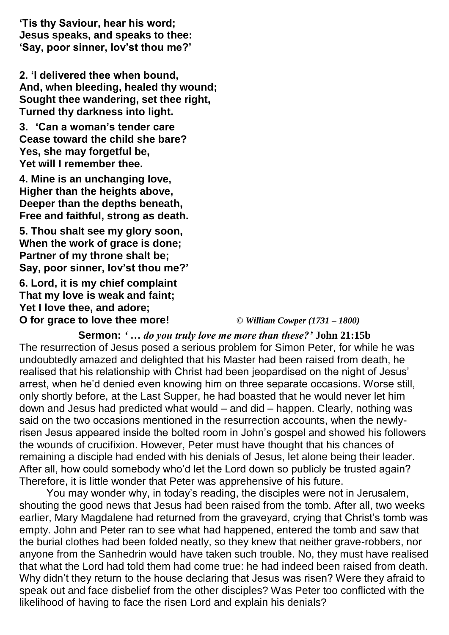**'Tis thy Saviour, hear his word; Jesus speaks, and speaks to thee: 'Say, poor sinner, lov'st thou me?'**

**2. 'I delivered thee when bound, And, when bleeding, healed thy wound; Sought thee wandering, set thee right, Turned thy darkness into light.**

**3. 'Can a woman's tender care Cease toward the child she bare? Yes, she may forgetful be, Yet will I remember thee.**

**4. Mine is an unchanging love, Higher than the heights above, Deeper than the depths beneath, Free and faithful, strong as death.**

**5. Thou shalt see my glory soon, When the work of grace is done; Partner of my throne shalt be; Say, poor sinner, lov'st thou me?'**

**6. Lord, it is my chief complaint That my love is weak and faint; Yet I love thee, and adore; O for grace to love thee more!** *© William Cowper (1731 – 1800)*

**Sermon:** *' … do you truly love me more than these?'* **John 21:15b** The resurrection of Jesus posed a serious problem for Simon Peter, for while he was undoubtedly amazed and delighted that his Master had been raised from death, he realised that his relationship with Christ had been jeopardised on the night of Jesus' arrest, when he'd denied even knowing him on three separate occasions. Worse still, only shortly before, at the Last Supper, he had boasted that he would never let him down and Jesus had predicted what would – and did – happen. Clearly, nothing was said on the two occasions mentioned in the resurrection accounts, when the newlyrisen Jesus appeared inside the bolted room in John's gospel and showed his followers the wounds of crucifixion. However, Peter must have thought that his chances of remaining a disciple had ended with his denials of Jesus, let alone being their leader. After all, how could somebody who'd let the Lord down so publicly be trusted again? Therefore, it is little wonder that Peter was apprehensive of his future.

You may wonder why, in today's reading, the disciples were not in Jerusalem, shouting the good news that Jesus had been raised from the tomb. After all, two weeks earlier, Mary Magdalene had returned from the graveyard, crying that Christ's tomb was empty. John and Peter ran to see what had happened, entered the tomb and saw that the burial clothes had been folded neatly, so they knew that neither grave-robbers, nor anyone from the Sanhedrin would have taken such trouble. No, they must have realised that what the Lord had told them had come true: he had indeed been raised from death. Why didn't they return to the house declaring that Jesus was risen? Were they afraid to speak out and face disbelief from the other disciples? Was Peter too conflicted with the likelihood of having to face the risen Lord and explain his denials?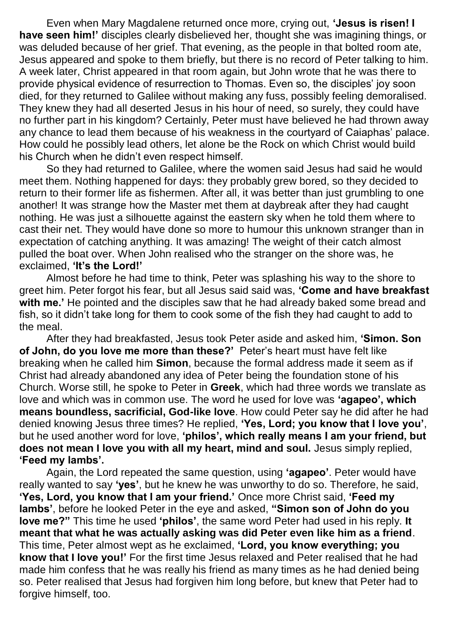Even when Mary Magdalene returned once more, crying out, **'Jesus is risen! I have seen him!'** disciples clearly disbelieved her, thought she was imagining things, or was deluded because of her grief. That evening, as the people in that bolted room ate, Jesus appeared and spoke to them briefly, but there is no record of Peter talking to him. A week later, Christ appeared in that room again, but John wrote that he was there to provide physical evidence of resurrection to Thomas. Even so, the disciples' joy soon died, for they returned to Galilee without making any fuss, possibly feeling demoralised. They knew they had all deserted Jesus in his hour of need, so surely, they could have no further part in his kingdom? Certainly, Peter must have believed he had thrown away any chance to lead them because of his weakness in the courtyard of Caiaphas' palace. How could he possibly lead others, let alone be the Rock on which Christ would build his Church when he didn't even respect himself.

So they had returned to Galilee, where the women said Jesus had said he would meet them. Nothing happened for days: they probably grew bored, so they decided to return to their former life as fishermen. After all, it was better than just grumbling to one another! It was strange how the Master met them at daybreak after they had caught nothing. He was just a silhouette against the eastern sky when he told them where to cast their net. They would have done so more to humour this unknown stranger than in expectation of catching anything. It was amazing! The weight of their catch almost pulled the boat over. When John realised who the stranger on the shore was, he exclaimed, **'It's the Lord!'**

Almost before he had time to think, Peter was splashing his way to the shore to greet him. Peter forgot his fear, but all Jesus said said was, **'Come and have breakfast with me.'** He pointed and the disciples saw that he had already baked some bread and fish, so it didn't take long for them to cook some of the fish they had caught to add to the meal.

After they had breakfasted, Jesus took Peter aside and asked him, **'Simon. Son of John, do you love me more than these?'** Peter's heart must have felt like breaking when he called him **Simon**, because the formal address made it seem as if Christ had already abandoned any idea of Peter being the foundation stone of his Church. Worse still, he spoke to Peter in **Greek**, which had three words we translate as love and which was in common use. The word he used for love was **'agapeo', which means boundless, sacrificial, God-like love**. How could Peter say he did after he had denied knowing Jesus three times? He replied, **'Yes, Lord; you know that I love you'**, but he used another word for love, **'philos', which really means I am your friend, but does not mean I love you with all my heart, mind and soul.** Jesus simply replied, **'Feed my lambs'.**

Again, the Lord repeated the same question, using **'agapeo'**. Peter would have really wanted to say **'yes'**, but he knew he was unworthy to do so. Therefore, he said, **'Yes, Lord, you know that I am your friend.'** Once more Christ said, **'Feed my lambs'**, before he looked Peter in the eye and asked, **"Simon son of John do you love me?"** This time he used **'philos'**, the same word Peter had used in his reply. **It meant that what he was actually asking was did Peter even like him as a friend**. This time, Peter almost wept as he exclaimed, **'Lord, you know everything; you know that I love you!'** For the first time Jesus relaxed and Peter realised that he had made him confess that he was really his friend as many times as he had denied being so. Peter realised that Jesus had forgiven him long before, but knew that Peter had to forgive himself, too.